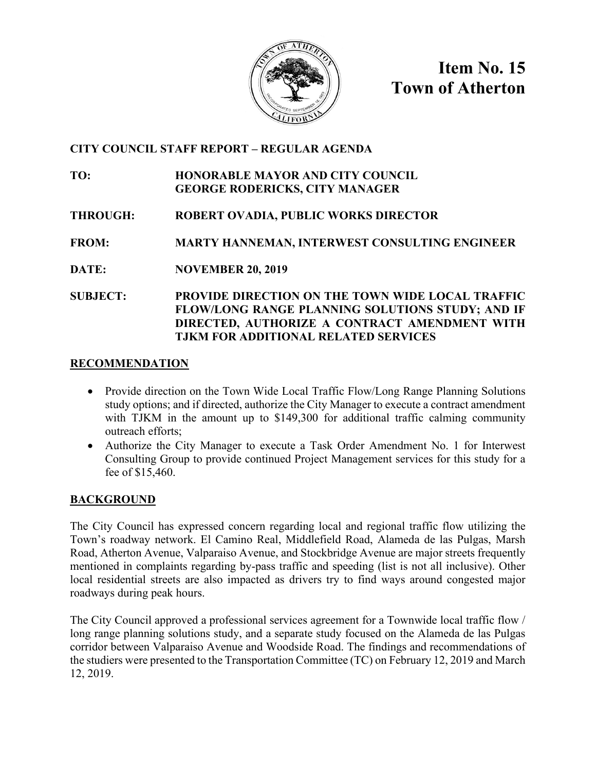

**Item No. 15 Town of Atherton**

#### **CITY COUNCIL STAFF REPORT – REGULAR AGENDA**

**TO: HONORABLE MAYOR AND CITY COUNCIL GEORGE RODERICKS, CITY MANAGER**

- **THROUGH: ROBERT OVADIA, PUBLIC WORKS DIRECTOR**
- **FROM: MARTY HANNEMAN, INTERWEST CONSULTING ENGINEER**
- **DATE: NOVEMBER 20, 2019**
- **SUBJECT: PROVIDE DIRECTION ON THE TOWN WIDE LOCAL TRAFFIC FLOW/LONG RANGE PLANNING SOLUTIONS STUDY; AND IF DIRECTED, AUTHORIZE A CONTRACT AMENDMENT WITH TJKM FOR ADDITIONAL RELATED SERVICES**

#### **RECOMMENDATION**

- Provide direction on the Town Wide Local Traffic Flow/Long Range Planning Solutions study options; and if directed, authorize the City Manager to execute a contract amendment with TJKM in the amount up to \$149,300 for additional traffic calming community outreach efforts;
- Authorize the City Manager to execute a Task Order Amendment No. 1 for Interwest Consulting Group to provide continued Project Management services for this study for a fee of \$15,460.

### **BACKGROUND**

The City Council has expressed concern regarding local and regional traffic flow utilizing the Town's roadway network. El Camino Real, Middlefield Road, Alameda de las Pulgas, Marsh Road, Atherton Avenue, Valparaiso Avenue, and Stockbridge Avenue are major streets frequently mentioned in complaints regarding by-pass traffic and speeding (list is not all inclusive). Other local residential streets are also impacted as drivers try to find ways around congested major roadways during peak hours.

The City Council approved a professional services agreement for a Townwide local traffic flow / long range planning solutions study, and a separate study focused on the Alameda de las Pulgas corridor between Valparaiso Avenue and Woodside Road. The findings and recommendations of the studiers were presented to the Transportation Committee (TC) on February 12, 2019 and March 12, 2019.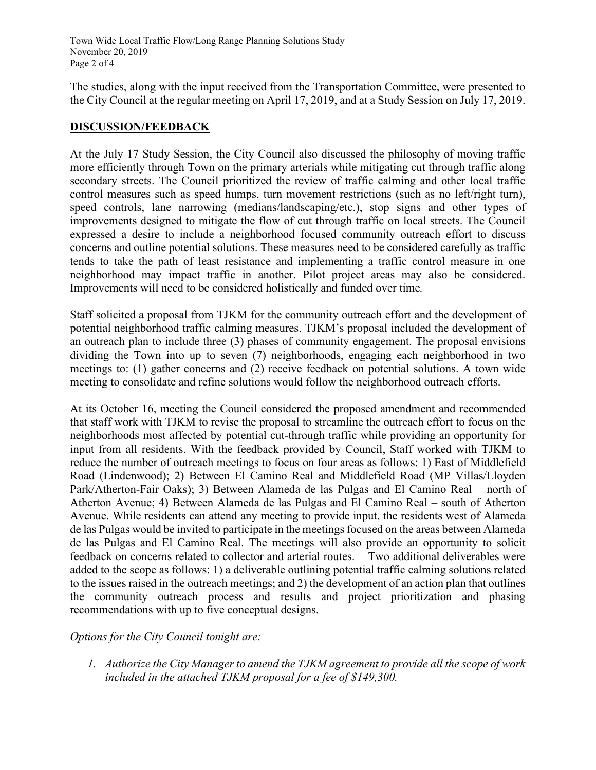Town Wide Local Traffic Flow/Long Range Planning Solutions Study November 20, 2019 Page 2 of 4

The studies, along with the input received from the Transportation Committee, were presented to the City Council at the regular meeting on April 17, 2019, and at a Study Session on July 17, 2019.

#### **DISCUSSION/FEEDBACK**

At the July 17 Study Session, the City Council also discussed the philosophy of moving traffic more efficiently through Town on the primary arterials while mitigating cut through traffic along secondary streets. The Council prioritized the review of traffic calming and other local traffic control measures such as speed humps, turn movement restrictions (such as no left/right turn), speed controls, lane narrowing (medians/landscaping/etc.), stop signs and other types of improvements designed to mitigate the flow of cut through traffic on local streets. The Council expressed a desire to include a neighborhood focused community outreach effort to discuss concerns and outline potential solutions. These measures need to be considered carefully as traffic tends to take the path of least resistance and implementing a traffic control measure in one neighborhood may impact traffic in another. Pilot project areas may also be considered. Improvements will need to be considered holistically and funded over time*.*

Staff solicited a proposal from TJKM for the community outreach effort and the development of potential neighborhood traffic calming measures. TJKM's proposal included the development of an outreach plan to include three (3) phases of community engagement. The proposal envisions dividing the Town into up to seven (7) neighborhoods, engaging each neighborhood in two meetings to: (1) gather concerns and (2) receive feedback on potential solutions. A town wide meeting to consolidate and refine solutions would follow the neighborhood outreach efforts.

At its October 16, meeting the Council considered the proposed amendment and recommended that staff work with TJKM to revise the proposal to streamline the outreach effort to focus on the neighborhoods most affected by potential cut-through traffic while providing an opportunity for input from all residents. With the feedback provided by Council, Staff worked with TJKM to reduce the number of outreach meetings to focus on four areas as follows: 1) East of Middlefield Road (Lindenwood); 2) Between El Camino Real and Middlefield Road (MP Villas/Lloyden Park/Atherton-Fair Oaks); 3) Between Alameda de las Pulgas and El Camino Real – north of Atherton Avenue; 4) Between Alameda de las Pulgas and El Camino Real – south of Atherton Avenue. While residents can attend any meeting to provide input, the residents west of Alameda de las Pulgas would be invited to participate in the meetings focused on the areas between Alameda de las Pulgas and El Camino Real. The meetings will also provide an opportunity to solicit feedback on concerns related to collector and arterial routes. Two additional deliverables were added to the scope as follows: 1) a deliverable outlining potential traffic calming solutions related to the issues raised in the outreach meetings; and 2) the development of an action plan that outlines the community outreach process and results and project prioritization and phasing recommendations with up to five conceptual designs.

#### *Options for the City Council tonight are:*

*1. Authorize the City Manager to amend the TJKM agreement to provide all the scope of work included in the attached TJKM proposal for a fee of \$149,300.*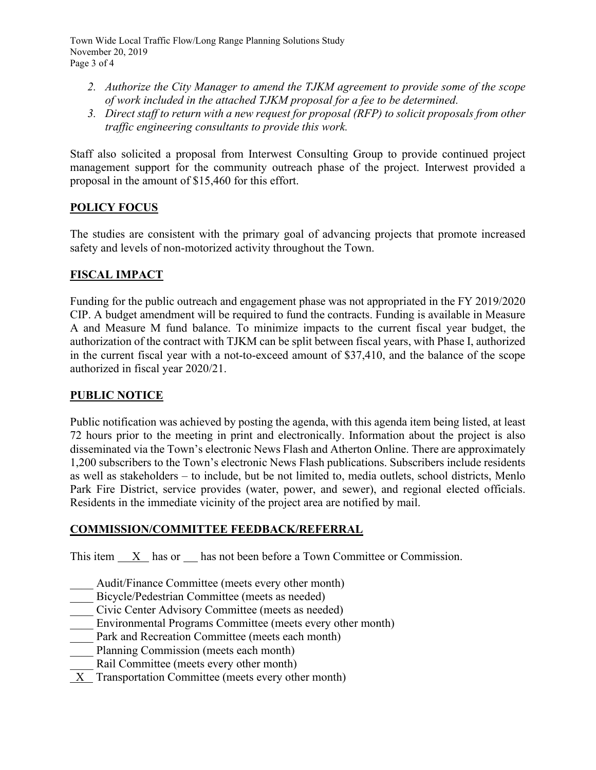Town Wide Local Traffic Flow/Long Range Planning Solutions Study November 20, 2019 Page 3 of 4

- *2. Authorize the City Manager to amend the TJKM agreement to provide some of the scope of work included in the attached TJKM proposal for a fee to be determined.*
- *3. Direct staff to return with a new request for proposal (RFP) to solicit proposals from other traffic engineering consultants to provide this work.*

Staff also solicited a proposal from Interwest Consulting Group to provide continued project management support for the community outreach phase of the project. Interwest provided a proposal in the amount of \$15,460 for this effort.

#### **POLICY FOCUS**

The studies are consistent with the primary goal of advancing projects that promote increased safety and levels of non-motorized activity throughout the Town.

#### **FISCAL IMPACT**

Funding for the public outreach and engagement phase was not appropriated in the FY 2019/2020 CIP. A budget amendment will be required to fund the contracts. Funding is available in Measure A and Measure M fund balance. To minimize impacts to the current fiscal year budget, the authorization of the contract with TJKM can be split between fiscal years, with Phase I, authorized in the current fiscal year with a not-to-exceed amount of \$37,410, and the balance of the scope authorized in fiscal year 2020/21.

#### **PUBLIC NOTICE**

Public notification was achieved by posting the agenda, with this agenda item being listed, at least 72 hours prior to the meeting in print and electronically. Information about the project is also disseminated via the Town's electronic News Flash and Atherton Online. There are approximately 1,200 subscribers to the Town's electronic News Flash publications. Subscribers include residents as well as stakeholders – to include, but be not limited to, media outlets, school districts, Menlo Park Fire District, service provides (water, power, and sewer), and regional elected officials. Residents in the immediate vicinity of the project area are notified by mail.

#### **COMMISSION/COMMITTEE FEEDBACK/REFERRAL**

This item X has or has not been before a Town Committee or Commission.

- Audit/Finance Committee (meets every other month)
- Bicycle/Pedestrian Committee (meets as needed)
- \_\_\_\_ Civic Center Advisory Committee (meets as needed)
- Environmental Programs Committee (meets every other month)
- Park and Recreation Committee (meets each month)
- \_\_\_\_ Planning Commission (meets each month)
- Rail Committee (meets every other month)
- X Transportation Committee (meets every other month)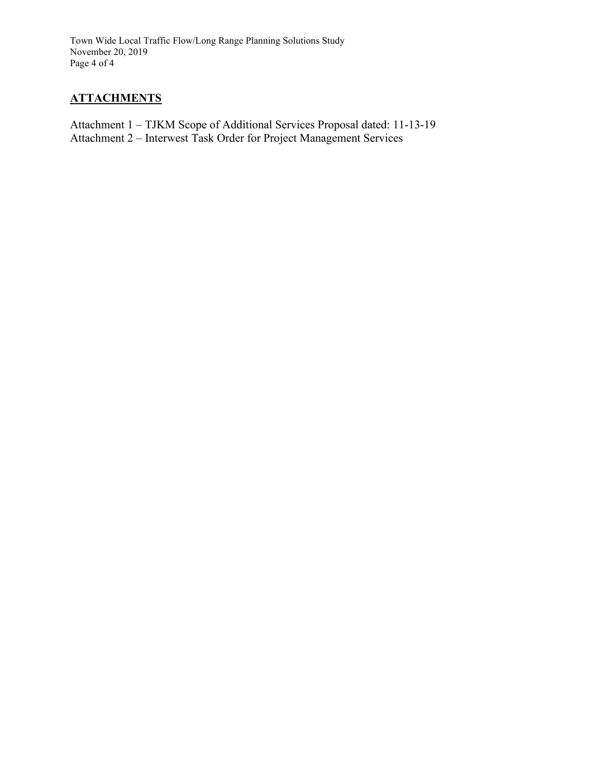Town Wide Local Traffic Flow/Long Range Planning Solutions Study November 20, 2019 Page 4 of 4

## **ATTACHMENTS**

Attachment 1 – TJKM Scope of Additional Services Proposal dated: 11-13-19 Attachment 2 – Interwest Task Order for Project Management Services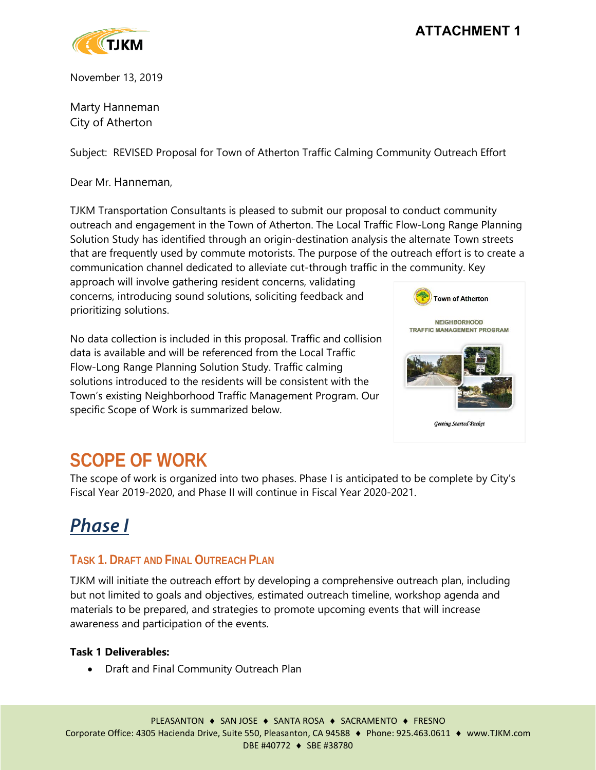## **ATTACHMENT 1**



November 13, 2019

Marty Hanneman City of Atherton

Subject: REVISED Proposal for Town of Atherton Traffic Calming Community Outreach Effort

Dear Mr. Hanneman,

TJKM Transportation Consultants is pleased to submit our proposal to conduct community outreach and engagement in the Town of Atherton. The Local Traffic Flow-Long Range Planning Solution Study has identified through an origin-destination analysis the alternate Town streets that are frequently used by commute motorists. The purpose of the outreach effort is to create a communication channel dedicated to alleviate cut-through traffic in the community. Key

approach will involve gathering resident concerns, validating concerns, introducing sound solutions, soliciting feedback and prioritizing solutions.

No data collection is included in this proposal. Traffic and collision data is available and will be referenced from the Local Traffic Flow-Long Range Planning Solution Study. Traffic calming solutions introduced to the residents will be consistent with the Town's existing Neighborhood Traffic Management Program. Our specific Scope of Work is summarized below.



# **SCOPE OF WORK**

The scope of work is organized into two phases. Phase I is anticipated to be complete by City's Fiscal Year 2019-2020, and Phase II will continue in Fiscal Year 2020-2021.

# *Phase I*

## **TASK 1. DRAFT AND FINAL OUTREACH PLAN**

TJKM will initiate the outreach effort by developing a comprehensive outreach plan, including but not limited to goals and objectives, estimated outreach timeline, workshop agenda and materials to be prepared, and strategies to promote upcoming events that will increase awareness and participation of the events.

### **Task 1 Deliverables:**

• Draft and Final Community Outreach Plan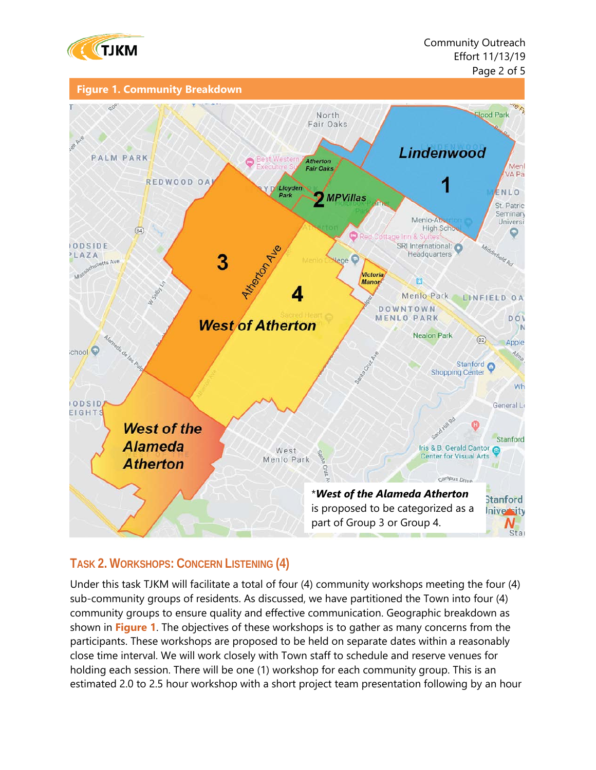

**Figure 1. Community Breakdown**



## **TASK 2. WORKSHOPS: CONCERN LISTENING (4)**

Under this task TJKM will facilitate a total of four (4) community workshops meeting the four (4) sub-community groups of residents. As discussed, we have partitioned the Town into four (4) community groups to ensure quality and effective communication. Geographic breakdown as shown in **Figure 1**. The objectives of these workshops is to gather as many concerns from the participants. These workshops are proposed to be held on separate dates within a reasonably close time interval. We will work closely with Town staff to schedule and reserve venues for holding each session. There will be one (1) workshop for each community group. This is an estimated 2.0 to 2.5 hour workshop with a short project team presentation following by an hour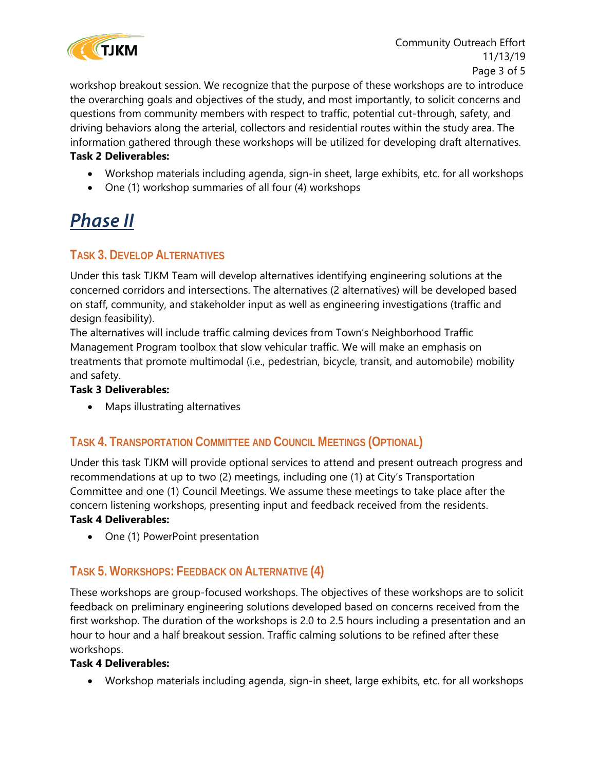

workshop breakout session. We recognize that the purpose of these workshops are to introduce the overarching goals and objectives of the study, and most importantly, to solicit concerns and questions from community members with respect to traffic, potential cut-through, safety, and driving behaviors along the arterial, collectors and residential routes within the study area. The information gathered through these workshops will be utilized for developing draft alternatives.

#### **Task 2 Deliverables:**

- Workshop materials including agenda, sign-in sheet, large exhibits, etc. for all workshops
- One (1) workshop summaries of all four (4) workshops

# *Phase II*

## **TASK 3. DEVELOP ALTERNATIVES**

Under this task TJKM Team will develop alternatives identifying engineering solutions at the concerned corridors and intersections. The alternatives (2 alternatives) will be developed based on staff, community, and stakeholder input as well as engineering investigations (traffic and design feasibility).

The alternatives will include traffic calming devices from Town's Neighborhood Traffic Management Program toolbox that slow vehicular traffic. We will make an emphasis on treatments that promote multimodal (i.e., pedestrian, bicycle, transit, and automobile) mobility and safety.

#### **Task 3 Deliverables:**

• Maps illustrating alternatives

## **TASK 4. TRANSPORTATION COMMITTEE AND COUNCIL MEETINGS (OPTIONAL)**

Under this task TJKM will provide optional services to attend and present outreach progress and recommendations at up to two (2) meetings, including one (1) at City's Transportation Committee and one (1) Council Meetings. We assume these meetings to take place after the concern listening workshops, presenting input and feedback received from the residents.

## **Task 4 Deliverables:**

• One (1) PowerPoint presentation

## **TASK 5. WORKSHOPS: FEEDBACK ON ALTERNATIVE (4)**

These workshops are group-focused workshops. The objectives of these workshops are to solicit feedback on preliminary engineering solutions developed based on concerns received from the first workshop. The duration of the workshops is 2.0 to 2.5 hours including a presentation and an hour to hour and a half breakout session. Traffic calming solutions to be refined after these workshops.

#### **Task 4 Deliverables:**

• Workshop materials including agenda, sign-in sheet, large exhibits, etc. for all workshops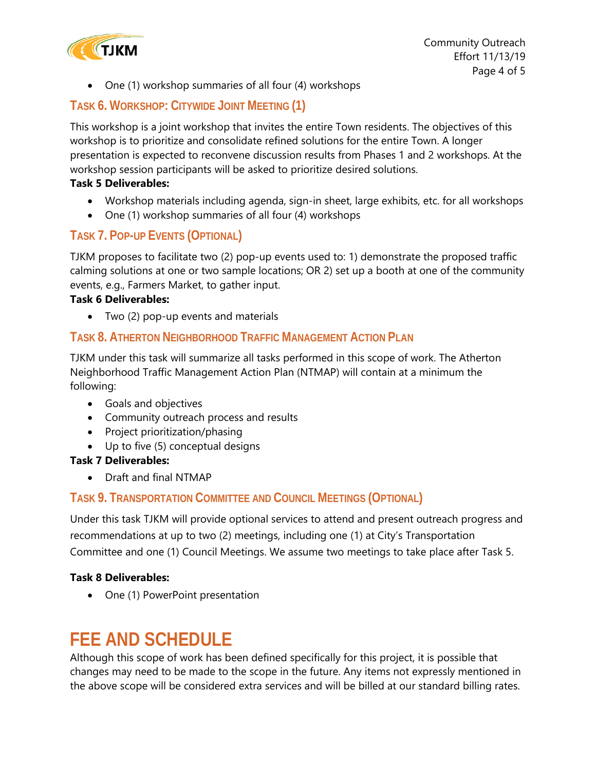

• One (1) workshop summaries of all four (4) workshops

## **TASK 6. WORKSHOP: CITYWIDE JOINT MEETING (1)**

This workshop is a joint workshop that invites the entire Town residents. The objectives of this workshop is to prioritize and consolidate refined solutions for the entire Town. A longer presentation is expected to reconvene discussion results from Phases 1 and 2 workshops. At the workshop session participants will be asked to prioritize desired solutions.

#### **Task 5 Deliverables:**

- Workshop materials including agenda, sign-in sheet, large exhibits, etc. for all workshops
- One (1) workshop summaries of all four (4) workshops

## **TASK 7. POP-UP EVENTS (OPTIONAL)**

TJKM proposes to facilitate two (2) pop-up events used to: 1) demonstrate the proposed traffic calming solutions at one or two sample locations; OR 2) set up a booth at one of the community events, e.g., Farmers Market, to gather input.

#### **Task 6 Deliverables:**

• Two (2) pop-up events and materials

## **TASK 8. ATHERTON NEIGHBORHOOD TRAFFIC MANAGEMENT ACTION PLAN**

TJKM under this task will summarize all tasks performed in this scope of work. The Atherton Neighborhood Traffic Management Action Plan (NTMAP) will contain at a minimum the following:

- Goals and objectives
- Community outreach process and results
- Project prioritization/phasing
- Up to five (5) conceptual designs

#### **Task 7 Deliverables:**

• Draft and final NTMAP

### **TASK 9. TRANSPORTATION COMMITTEE AND COUNCIL MEETINGS (OPTIONAL)**

Under this task TJKM will provide optional services to attend and present outreach progress and recommendations at up to two (2) meetings, including one (1) at City's Transportation Committee and one (1) Council Meetings. We assume two meetings to take place after Task 5.

#### **Task 8 Deliverables:**

• One (1) PowerPoint presentation

## **FEE AND SCHEDULE**

Although this scope of work has been defined specifically for this project, it is possible that changes may need to be made to the scope in the future. Any items not expressly mentioned in the above scope will be considered extra services and will be billed at our standard billing rates.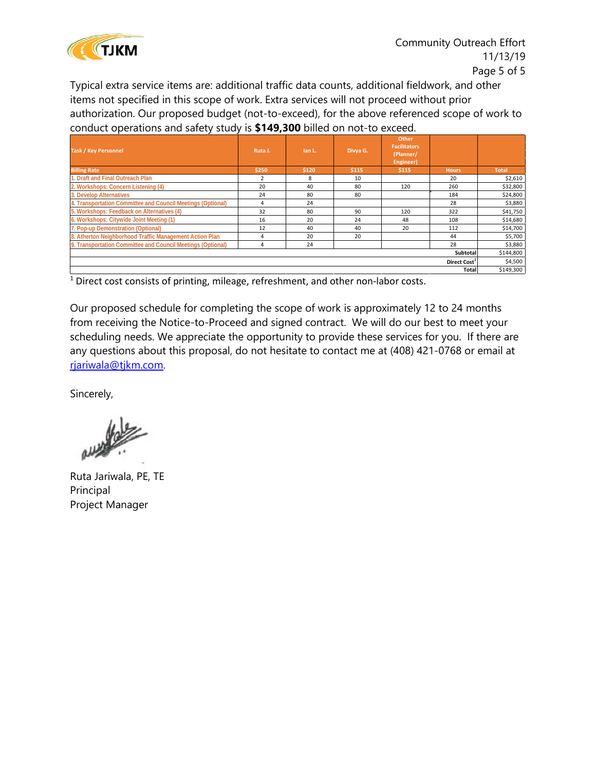

Typical extra service items are: additional traffic data counts, additional fieldwork, and other items not specified in this scope of work. Extra services will not proceed without prior authorization. Our proposed budget (not-to-exceed), for the above referenced scope of work to conduct operations and safety study is **\$149,300** billed on not-to exceed.

| <b>Task / Key Personnel</b>                                 | Ruta J.  | lan L. | Divya G. | Other<br><b>Facilitators</b><br>(Planner/<br>Engineer) |                          |              |
|-------------------------------------------------------------|----------|--------|----------|--------------------------------------------------------|--------------------------|--------------|
| <b>Billing Rate</b>                                         | \$250    | \$120  | \$115    | \$115                                                  | <b>Hours</b>             | <b>Total</b> |
| 1. Draft and Final Outreach Plan                            |          | 8      | 10       |                                                        | 20                       | \$2,610      |
| 2. Workshops: Concern Listening (4)                         | 20       | 40     | 80       | 120                                                    | 260                      | \$32,800     |
| 3. Develop Alternatives                                     | 24       | 80     | 80       |                                                        | 184                      | \$24,800     |
| 4. Transportation Committee and Council Meetings (Optional) | $\Delta$ | 24     |          |                                                        | 28                       | \$3,880      |
| 5. Workshops: Feedback on Alternatives (4)                  | 32       | 80     | 90       | 120                                                    | 322                      | \$41,750     |
| 6. Workshops: Citywide Joint Meeting (1)                    | 16       | 20     | 24       | 48                                                     | 108                      | \$14,680     |
| 7. Pop-up Demonstration (Optional)                          | 12       | 40     | 40       | 20                                                     | 112                      | \$14,700     |
| 8. Atherton Neighborhood Traffic Management Action Plan     | 4        | 20     | 20       |                                                        | 44                       | \$5,700      |
| 9. Transportation Committee and Council Meetings (Optional) | 4        | 24     |          |                                                        | 28                       | \$3,880      |
|                                                             |          |        |          |                                                        | Subtotal                 | \$144,800    |
|                                                             |          |        |          |                                                        | Direct Cost <sup>1</sup> | \$4,500      |
| Total                                                       |          |        |          |                                                        |                          | \$149,300    |

<sup>1</sup> Direct cost consists of printing, mileage, refreshment, and other non-labor costs.

Our proposed schedule for completing the scope of work is approximately 12 to 24 months from receiving the Notice-to-Proceed and signed contract. We will do our best to meet your scheduling needs. We appreciate the opportunity to provide these services for you. If there are any questions about this proposal, do not hesitate to contact me at (408) 421-0768 or email at [rjariwala@tjkm.com.](mailto:rjariwala@tjkm.com)

Sincerely,

Ruta Jariwala, PE, TE Principal Project Manager